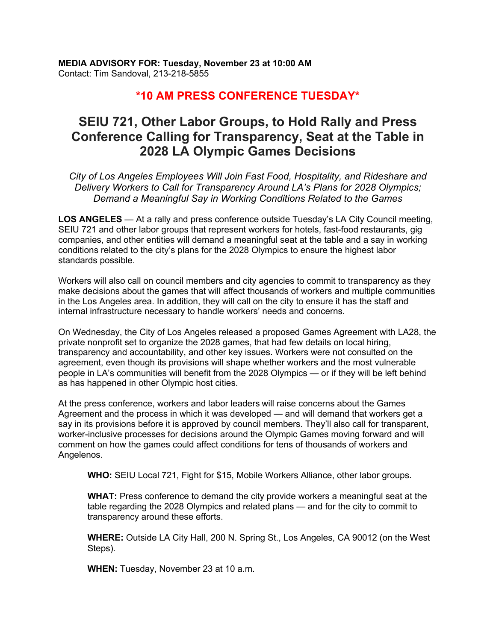## **\*10 AM PRESS CONFERENCE TUESDAY\***

## **SEIU 721, Other Labor Groups, to Hold Rally and Press Conference Calling for Transparency, Seat at the Table in 2028 LA Olympic Games Decisions**

*City of Los Angeles Employees Will Join Fast Food, Hospitality, and Rideshare and Delivery Workers to Call for Transparency Around LA's Plans for 2028 Olympics; Demand a Meaningful Say in Working Conditions Related to the Games*

**LOS ANGELES** — At a rally and press conference outside Tuesday's LA City Council meeting, SEIU 721 and other labor groups that represent workers for hotels, fast-food restaurants, gig companies, and other entities will demand a meaningful seat at the table and a say in working conditions related to the city's plans for the 2028 Olympics to ensure the highest labor standards possible.

Workers will also call on council members and city agencies to commit to transparency as they make decisions about the games that will affect thousands of workers and multiple communities in the Los Angeles area. In addition, they will call on the city to ensure it has the staff and internal infrastructure necessary to handle workers' needs and concerns.

On Wednesday, the City of Los Angeles released a proposed Games Agreement with LA28, the private nonprofit set to organize the 2028 games, that had few details on local hiring, transparency and accountability, and other key issues. Workers were not consulted on the agreement, even though its provisions will shape whether workers and the most vulnerable people in LA's communities will benefit from the 2028 Olympics — or if they will be left behind as has happened in other Olympic host cities.

At the press conference, workers and labor leaders will raise concerns about the Games Agreement and the process in which it was developed — and will demand that workers get a say in its provisions before it is approved by council members. They'll also call for transparent, worker-inclusive processes for decisions around the Olympic Games moving forward and will comment on how the games could affect conditions for tens of thousands of workers and Angelenos.

**WHO:** SEIU Local 721, Fight for \$15, Mobile Workers Alliance, other labor groups.

**WHAT:** Press conference to demand the city provide workers a meaningful seat at the table regarding the 2028 Olympics and related plans — and for the city to commit to transparency around these efforts.

**WHERE:** Outside LA City Hall, 200 N. Spring St., Los Angeles, CA 90012 (on the West Steps).

**WHEN:** Tuesday, November 23 at 10 a.m.